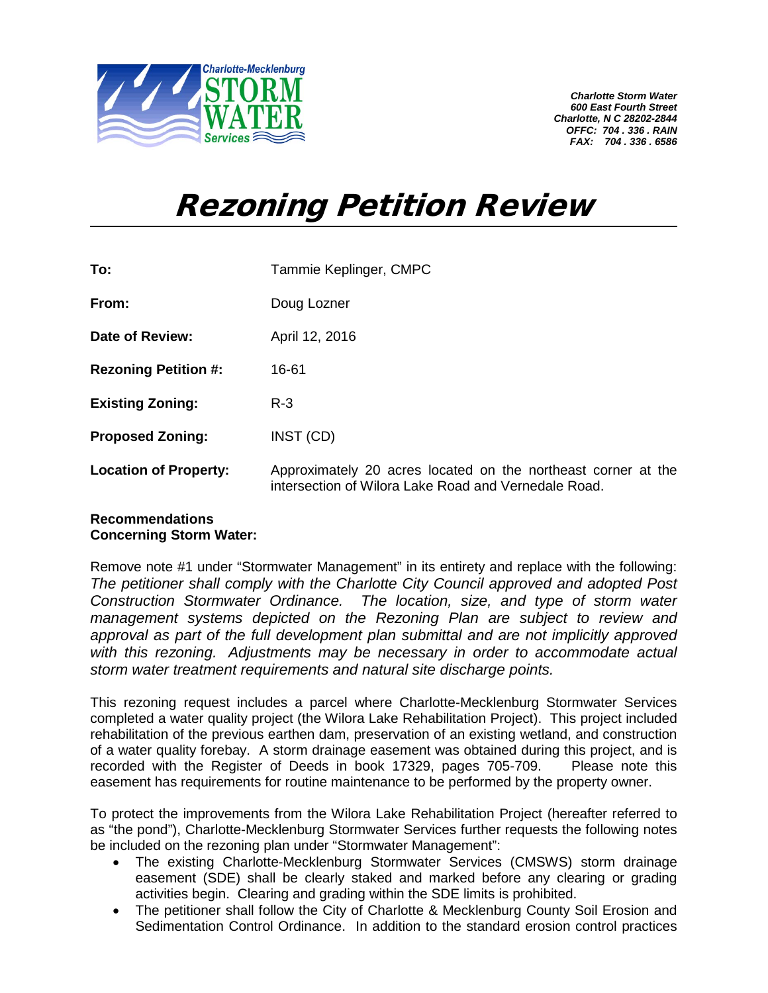

*Charlotte Storm Water 600 East Fourth Street Charlotte, N C 28202-2844 OFFC: 704 . 336 . RAIN FAX: 704 . 336 . 6586*

## Rezoning Petition Review

| To:                          | Tammie Keplinger, CMPC                                                                                                |
|------------------------------|-----------------------------------------------------------------------------------------------------------------------|
| From:                        | Doug Lozner                                                                                                           |
| <b>Date of Review:</b>       | April 12, 2016                                                                                                        |
| <b>Rezoning Petition #:</b>  | 16-61                                                                                                                 |
| <b>Existing Zoning:</b>      | $R - 3$                                                                                                               |
| <b>Proposed Zoning:</b>      | INST (CD)                                                                                                             |
| <b>Location of Property:</b> | Approximately 20 acres located on the northeast corner at the<br>intersection of Wilora Lake Road and Vernedale Road. |

## **Recommendations Concerning Storm Water:**

Remove note #1 under "Stormwater Management" in its entirety and replace with the following: *The petitioner shall comply with the Charlotte City Council approved and adopted Post Construction Stormwater Ordinance. The location, size, and type of storm water management systems depicted on the Rezoning Plan are subject to review and approval as part of the full development plan submittal and are not implicitly approved with this rezoning. Adjustments may be necessary in order to accommodate actual storm water treatment requirements and natural site discharge points.*

This rezoning request includes a parcel where Charlotte-Mecklenburg Stormwater Services completed a water quality project (the Wilora Lake Rehabilitation Project). This project included rehabilitation of the previous earthen dam, preservation of an existing wetland, and construction of a water quality forebay. A storm drainage easement was obtained during this project, and is recorded with the Register of Deeds in book 17329, pages 705-709. Please note this easement has requirements for routine maintenance to be performed by the property owner.

To protect the improvements from the Wilora Lake Rehabilitation Project (hereafter referred to as "the pond"), Charlotte-Mecklenburg Stormwater Services further requests the following notes be included on the rezoning plan under "Stormwater Management":

- The existing Charlotte-Mecklenburg Stormwater Services (CMSWS) storm drainage easement (SDE) shall be clearly staked and marked before any clearing or grading activities begin. Clearing and grading within the SDE limits is prohibited.
- The petitioner shall follow the City of Charlotte & Mecklenburg County Soil Erosion and Sedimentation Control Ordinance. In addition to the standard erosion control practices